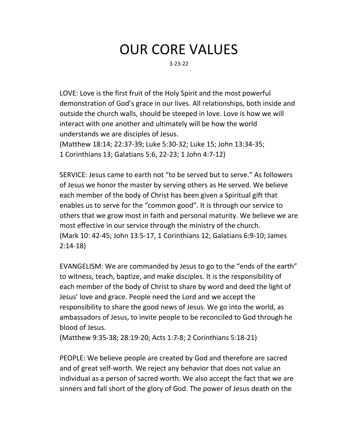## OUR CORE VALUES

3-23-22

LOVE: Love is the first fruit of the Holy Spirit and the most powerful demonstration of God's grace in our lives. All relationships, both inside and outside the church walls, should be steeped in love. Love is how we will interact with one another and ultimately will be how the world understands we are disciples of Jesus.

(Matthew 18:14; 22:37-39; Luke 5:30-32; Luke 15; John 13:34-35; 1 Corinthians 13; Galatians 5:6, 22-23; 1 John 4:7-12)

SERVICE: Jesus came to earth not "to be served but to serve." As followers of Jesus we honor the master by serving others as He served. We believe each member of the body of Christ has been given a Spiritual gift that enables us to serve for the "common good". It is through our service to others that we grow most in faith and personal maturity. We believe we are most effective in our service through the ministry of the church. (Mark 10: 42-45; John 13:5-17, 1 Corinthians 12; Galatians 6:9-10; James 2:14-18)

EVANGELISM: We are commanded by Jesus to go to the "ends of the earth" to witness, teach, baptize, and make disciples. It is the responsibility of each member of the body of Christ to share by word and deed the light of Jesus' love and grace. People need the Lord and we accept the responsibility to share the good news of Jesus. We go into the world, as ambassadors of Jesus, to invite people to be reconciled to God through he blood of Jesus.

(Matthew 9:35-38; 28:19-20; Acts 1:7-8; 2 Corinthians 5:18-21)

PEOPLE: We believe people are created by God and therefore are sacred and of great self-worth. We reject any behavior that does not value an individual as a person of sacred worth. We also accept the fact that we are sinners and fall short of the glory of God. The power of Jesus death on the